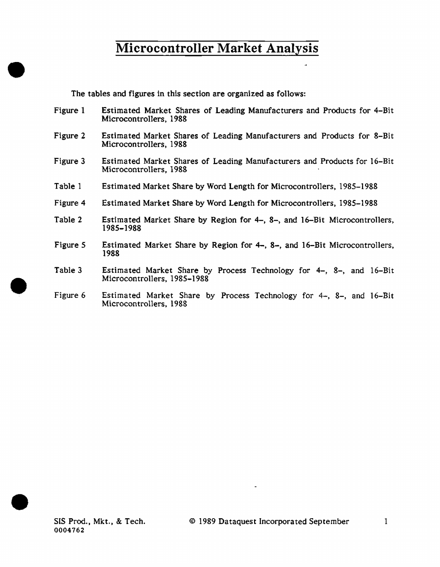The tables and figures in this section are organized as follows:

- Figure 1 Estimated Market Shares of Leading Manufacturers and Products for 4-Bit Microcontrollers, 1988
- Figure 2 Estimated Market Shares of Leading Manufacturers and Products for 8-Bit Microcontrollers, 1988
- Figure 3 Estimated Market Shares of Leading Manufacturers and Products for 16-Bit Microcontrollers, 1988
- Table 1 Estimated Market Share by Word Length for Microcontrollers, 1985-1988
- Figure 4 Estimated Market Share by Word Length for Microcontrollers, 1985-1988
- Table 2 Estimated Market Share by Region for 4-, 8-, and 16-Bit Microcontrollers, 1985-1988
- Figure 5 Estimated Market Share by Region for 4-, 8-, and 16-Bit Microcontrollers, 1988
- Table 3 Estimated Market Share by Process Technology for 4-, 8-, and 16-Bit Microcontrollers, 1985-1988
- Figure 6 Estimated Market Share by Process Technology for 4-, 8-, and 16-Bit Microcontrollers, 1988



•

•

•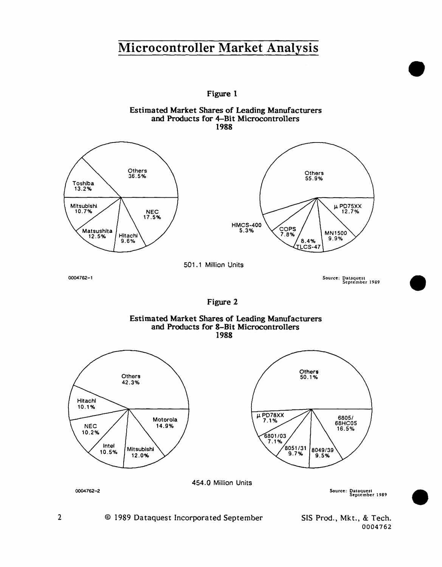Figure 1





Figure 2





Source: Da1aqucst September 1989

•

•

•

SIS Prod., Mkt., & Tech. 0004762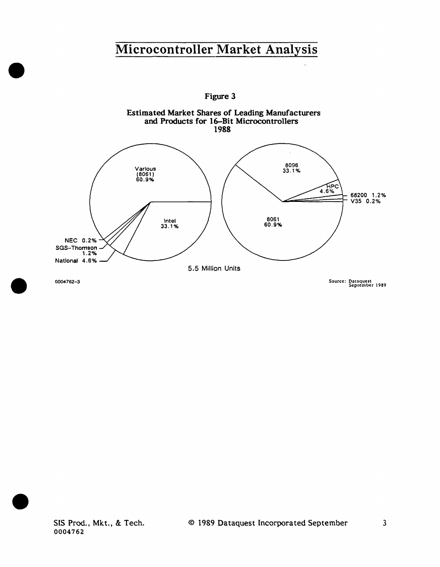

SIS Prod., Mkt., & Tech. 0004762

•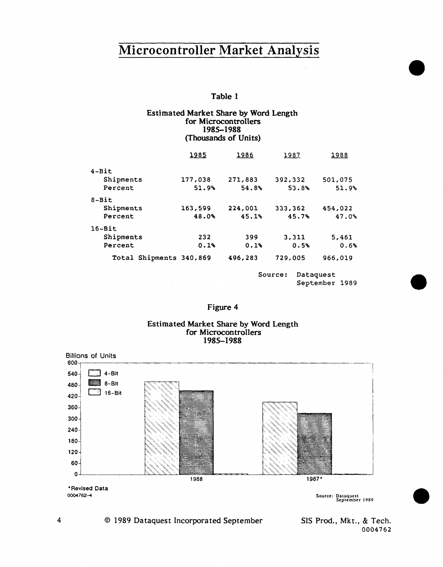### Table 1

#### Estimated Market Share by Word Length for Microcontrollers 1985-1988 (Thousands of Units)

|                         | 1985    | 1986                 | 1987    | 1988    |  |  |
|-------------------------|---------|----------------------|---------|---------|--|--|
| $4 - Bit$               |         |                      |         |         |  |  |
| Shipments               | 177,038 | 271,883              | 392,332 | 501,075 |  |  |
| Percent                 | 51.9%   | 54.8%                | 53.8%   | 51.9%   |  |  |
| $8-Bit$                 |         |                      |         |         |  |  |
| Shipments               | 163,599 | 224,001              | 333,362 | 454,022 |  |  |
| Percent                 | 48.0%   | 45.1%                | 45.7%   | 47.0%   |  |  |
| $16 - Bit$              |         |                      |         |         |  |  |
| Shipments               | 232     | 399                  | 3,311   | 5,461   |  |  |
| Percent                 | 0.1%    | 0.1%                 | 0.5%    | 0.6%    |  |  |
| Total Shipments 340,869 |         | 496,283              | 729,005 | 966,019 |  |  |
|                         |         | Dataguest<br>Source: |         |         |  |  |

### Figure 4

#### Estimated Market Share by Word Length for Microcontrollers 1985-1988



SIS Prod., Mkt., & Tech. 0004762

September 1989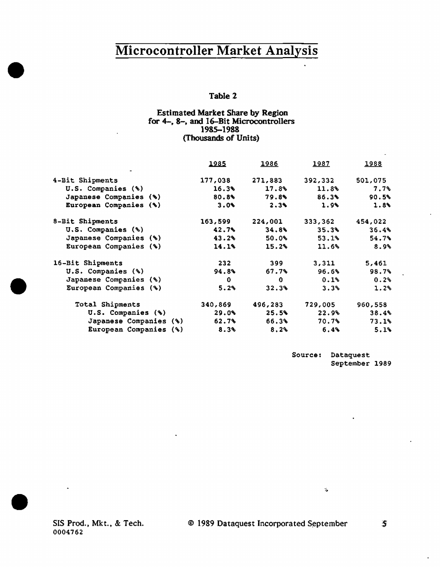### Table 2

### Estimated Market Share by Region for 4-, 8-, and 16-Bit Microcontrollers 1985-1988 (Thousands of Units)

|                        | 1985    | 1986    | <u> 1987 </u> | 1988    |
|------------------------|---------|---------|---------------|---------|
| 4-Bit Shipments        | 177,038 | 271,883 | 392,332       | 501,075 |
| U.S. Companies (%)     | 16.3%   | 17.8%   | 11.8%         | 7.7%    |
| Japanese Companies (%) | 80.8%   | 79.8%   | 86.3%         | 90.5%   |
| European Companies (%) | 3.0%    | 2.3%    | 1.9%          | 1.8     |
| 8-Bit Shipments        | 163,599 | 224,001 | 333,362       | 454,022 |
| U.S. Companies (%)     | 42.7%   | 34.8%   | 35.3%         | 36.4%   |
| Japanese Companies (%) | 43.2%   | 50.0%   | 53.1%         | 54.7%   |
| European Companies (%) | 14.1%   | 15.2%   | 11.6%         | 8.9%    |
| 16-Bit Shipments       | 232     | 399     | 3,311         | 5,461   |
| U.S. Companies (%)     | 94.8%   | 67.7%   | 96.6%         | 98.7%   |
| Japanese Companies (%) | 0.      | 0.      | 0.1%          | 0.2%    |
| European Companies (%) | 5.2%    | 32.3%   | 3.3%          | 1.2%    |
| Total Shipments        | 340,869 | 496,283 | 729,005       | 960,558 |
| U.S. Companies (%)     | 29.0%   | 25.5%   | 22.9%         | 38.4%   |
| Japanese Companies (%) | 62.7%   | 66.3%   | 70.7%         | 73.1%   |
| European Companies (%) | 8.3%    | 8.2%    | 6.4%          | 5.1%    |

Source: Dataquest September 1989

 $\mathcal{C}_\bullet$ 

SIS Prod., Mkt., & Tech. 0004762

•

•

•

 $\mathbf{S}$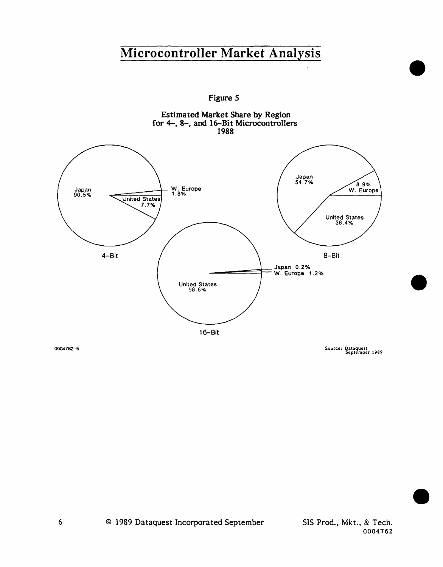**Figure** *5* 



0004762-5

Source: Dataquest<br>September 1989

•

•

•

0004762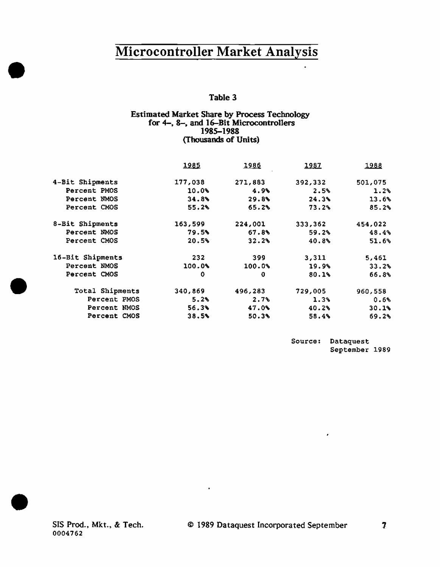### Table 3

### Estimated Market Share by Process Technology<br>for 4-, 8-, and 16-Bit Microcontrollers 1985-1988 (Thousands of Units)

| 4-Bit Shipments<br>177,038<br>271,883<br>392,332<br>Percent PMOS<br>10.0%<br>4.9%<br>2.5%<br>Percent NMOS<br>34.8%<br>24.3%<br>29.8%<br>55.2%<br>Percent CMOS<br>73.2%<br>65.2% | 501,075<br>1.2% |
|---------------------------------------------------------------------------------------------------------------------------------------------------------------------------------|-----------------|
|                                                                                                                                                                                 |                 |
|                                                                                                                                                                                 |                 |
|                                                                                                                                                                                 | 13.6%           |
|                                                                                                                                                                                 | 85.2%           |
| 8-Bit Shipments<br>224,001<br>163,599<br>333,362                                                                                                                                | 454,022         |
| Percent NMOS<br>79.5%<br>67.8%<br>59.2%                                                                                                                                         | 48.4%           |
| Percent CMOS<br>20.5%<br>32.2%<br>40.8%                                                                                                                                         | 51.6%           |
| 16-Bit Shipments<br>232<br>399<br>3,311                                                                                                                                         | 5,461           |
| Percent NMOS<br>100.0%<br>100.0%<br>19.9%                                                                                                                                       | 33.2%           |
| Percent CMOS<br>0<br>80.1%<br>$\bf{0}$                                                                                                                                          | 66.8%           |
| Total Shipments<br>340,869<br>496,283<br>729,005<br>960,558                                                                                                                     |                 |
| Percent PMOS<br>5.2%<br>2.7<br>1.3%                                                                                                                                             | 0.6%            |
| 56.3%<br>Percent NMOS<br>47.0%<br>40.2%                                                                                                                                         | 30.1%           |
| Percent CMOS<br>38.5%<br>50.3%<br>58.4%                                                                                                                                         | 69.2%           |

 $\blacksquare$ 

Source: Dataquest September 1989

 $\lambda$